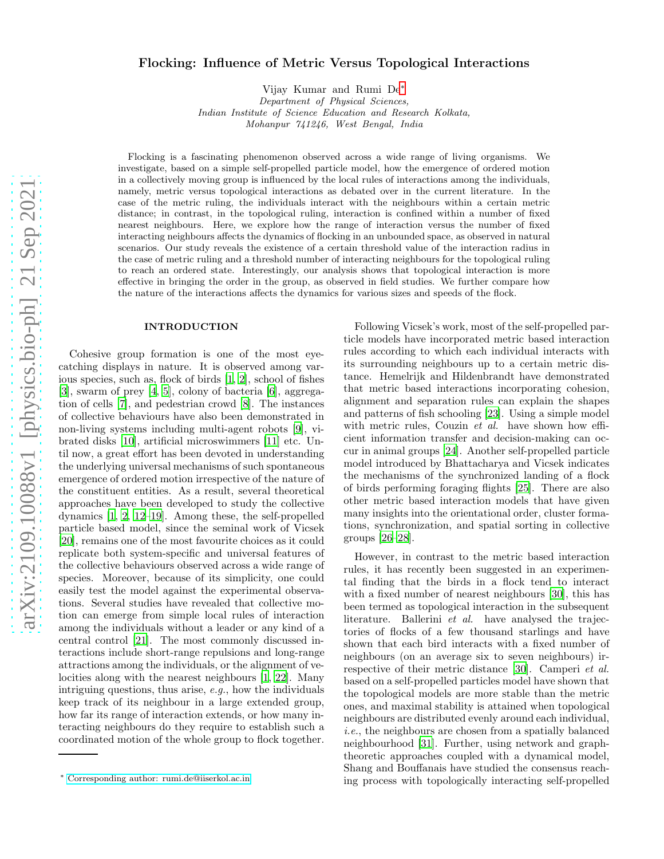# Flocking: Influence of Metric Versus Topological Interactions

Vijay Kumar and Rumi De[∗](#page-0-0) Department of Physical Sciences, Indian Institute of Science Education and Research Kolkata, Mohanpur 741246, West Bengal, India

Flocking is a fascinating phenomenon observed across a wide range of living organisms. We investigate, based on a simple self-propelled particle model, how the emergence of ordered motion in a collectively moving group is influenced by the local rules of interactions among the individuals, namely, metric versus topological interactions as debated over in the current literature. In the case of the metric ruling, the individuals interact with the neighbours within a certain metric distance; in contrast, in the topological ruling, interaction is confined within a number of fixed nearest neighbours. Here, we explore how the range of interaction versus the number of fixed interacting neighbours affects the dynamics of flocking in an unbounded space, as observed in natural scenarios. Our study reveals the existence of a certain threshold value of the interaction radius in the case of metric ruling and a threshold number of interacting neighbours for the topological ruling to reach an ordered state. Interestingly, our analysis shows that topological interaction is more effective in bringing the order in the group, as observed in field studies. We further compare how the nature of the interactions affects the dynamics for various sizes and speeds of the flock.

### INTRODUCTION

Cohesive group formation is one of the most eyecatching displays in nature. It is observed among various species, such as, flock of birds [\[1,](#page-5-0) [2\]](#page-5-1), school of fishes [\[3\]](#page-5-2), swarm of prey [\[4](#page-6-0), [5\]](#page-6-1), colony of bacteria [\[6](#page-6-2)], aggregation of cells [\[7](#page-6-3)], and pedestrian crowd [\[8](#page-6-4)]. The instances of collective behaviours have also been demonstrated in non-living systems including multi-agent robots [\[9\]](#page-6-5), vibrated disks [\[10\]](#page-6-6), artificial microswimmers [\[11\]](#page-6-7) etc. Until now, a great effort has been devoted in understanding the underlying universal mechanisms of such spontaneous emergence of ordered motion irrespective of the nature of the constituent entities. As a result, several theoretical approaches have been developed to study the collective dynamics [\[1](#page-5-0), [2,](#page-5-1) [12](#page-6-8)[–19](#page-6-9)]. Among these, the self-propelled particle based model, since the seminal work of Vicsek [\[20\]](#page-6-10), remains one of the most favourite choices as it could replicate both system-specific and universal features of the collective behaviours observed across a wide range of species. Moreover, because of its simplicity, one could easily test the model against the experimental observations. Several studies have revealed that collective motion can emerge from simple local rules of interaction among the individuals without a leader or any kind of a central control [\[21\]](#page-6-11). The most commonly discussed interactions include short-range repulsions and long-range attractions among the individuals, or the alignment of velocities along with the nearest neighbours [\[1,](#page-5-0) [22\]](#page-6-12). Many intriguing questions, thus arise, e.g., how the individuals keep track of its neighbour in a large extended group, how far its range of interaction extends, or how many interacting neighbours do they require to establish such a coordinated motion of the whole group to flock together.

Following Vicsek's work, most of the self-propelled particle models have incorporated metric based interaction rules according to which each individual interacts with its surrounding neighbours up to a certain metric distance. Hemelrijk and Hildenbrandt have demonstrated that metric based interactions incorporating cohesion, alignment and separation rules can explain the shapes and patterns of fish schooling [\[23\]](#page-6-13). Using a simple model with metric rules, Couzin *et al.* have shown how efficient information transfer and decision-making can occur in animal groups [\[24\]](#page-6-14). Another self-propelled particle model introduced by Bhattacharya and Vicsek indicates the mechanisms of the synchronized landing of a flock of birds performing foraging flights [\[25\]](#page-6-15). There are also other metric based interaction models that have given many insights into the orientational order, cluster formations, synchronization, and spatial sorting in collective groups [\[26](#page-6-16)[–28\]](#page-6-17).

However, in contrast to the metric based interaction rules, it has recently been suggested in an experimental finding that the birds in a flock tend to interact with a fixed number of nearest neighbours [\[30\]](#page-6-18), this has been termed as topological interaction in the subsequent literature. Ballerini et al. have analysed the trajectories of flocks of a few thousand starlings and have shown that each bird interacts with a fixed number of neighbours (on an average six to seven neighbours) irrespective of their metric distance [\[30](#page-6-18)]. Camperi et al. based on a self-propelled particles model have shown that the topological models are more stable than the metric ones, and maximal stability is attained when topological neighbours are distributed evenly around each individual, i.e., the neighbours are chosen from a spatially balanced neighbourhood [\[31](#page-6-19)]. Further, using network and graphtheoretic approaches coupled with a dynamical model, Shang and Bouffanais have studied the consensus reaching process with topologically interacting self-propelled

<span id="page-0-0"></span><sup>∗</sup> [Corresponding author: rumi.de@iiserkol.ac.in](mailto:Corresponding author: rumi.de@iiserkol.ac.in)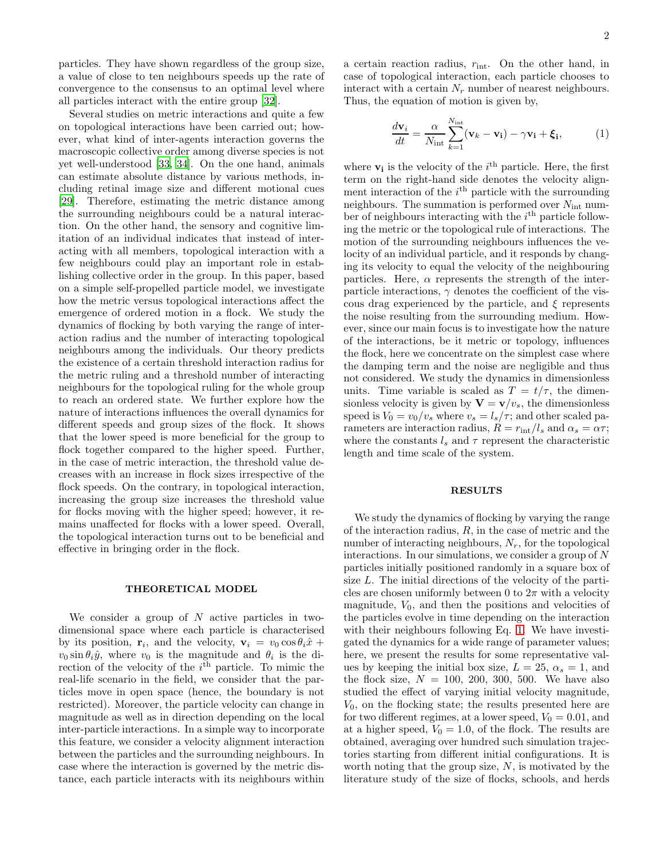particles. They have shown regardless of the group size, a value of close to ten neighbours speeds up the rate of convergence to the consensus to an optimal level where all particles interact with the entire group [\[32\]](#page-6-20).

Several studies on metric interactions and quite a few on topological interactions have been carried out; however, what kind of inter-agents interaction governs the macroscopic collective order among diverse species is not yet well-understood [\[33,](#page-6-21) [34](#page-6-22)]. On the one hand, animals can estimate absolute distance by various methods, including retinal image size and different motional cues [\[29\]](#page-6-23). Therefore, estimating the metric distance among the surrounding neighbours could be a natural interaction. On the other hand, the sensory and cognitive limitation of an individual indicates that instead of interacting with all members, topological interaction with a few neighbours could play an important role in establishing collective order in the group. In this paper, based on a simple self-propelled particle model, we investigate how the metric versus topological interactions affect the emergence of ordered motion in a flock. We study the dynamics of flocking by both varying the range of interaction radius and the number of interacting topological neighbours among the individuals. Our theory predicts the existence of a certain threshold interaction radius for the metric ruling and a threshold number of interacting neighbours for the topological ruling for the whole group to reach an ordered state. We further explore how the nature of interactions influences the overall dynamics for different speeds and group sizes of the flock. It shows that the lower speed is more beneficial for the group to flock together compared to the higher speed. Further, in the case of metric interaction, the threshold value decreases with an increase in flock sizes irrespective of the flock speeds. On the contrary, in topological interaction, increasing the group size increases the threshold value for flocks moving with the higher speed; however, it remains unaffected for flocks with a lower speed. Overall, the topological interaction turns out to be beneficial and effective in bringing order in the flock.

## THEORETICAL MODEL

We consider a group of  $N$  active particles in twodimensional space where each particle is characterised by its position,  $\mathbf{r}_i$ , and the velocity,  $\mathbf{v}_i = v_0 \cos \theta_i \hat{x} + \mathbf{r}_i$  $v_0 \sin \theta_i \hat{y}$ , where  $v_0$  is the magnitude and  $\theta_i$  is the direction of the velocity of the  $i^{\text{th}}$  particle. To mimic the real-life scenario in the field, we consider that the particles move in open space (hence, the boundary is not restricted). Moreover, the particle velocity can change in magnitude as well as in direction depending on the local inter-particle interactions. In a simple way to incorporate this feature, we consider a velocity alignment interaction between the particles and the surrounding neighbours. In case where the interaction is governed by the metric distance, each particle interacts with its neighbours within a certain reaction radius,  $r_{\text{int}}$ . On the other hand, in case of topological interaction, each particle chooses to interact with a certain  $N_r$  number of nearest neighbours. Thus, the equation of motion is given by,

<span id="page-1-0"></span>
$$
\frac{d\mathbf{v}_i}{dt} = \frac{\alpha}{N_{\text{int}}} \sum_{k=1}^{N_{\text{int}}} (\mathbf{v}_k - \mathbf{v}_i) - \gamma \mathbf{v}_i + \boldsymbol{\xi}_i, \tag{1}
$$

where  $\mathbf{v}_i$  is the velocity of the  $i^{\text{th}}$  particle. Here, the first term on the right-hand side denotes the velocity alignment interaction of the  $i<sup>th</sup>$  particle with the surrounding neighbours. The summation is performed over  $N_{\text{int}}$  number of neighbours interacting with the  $i^{\text{th}}$  particle following the metric or the topological rule of interactions. The motion of the surrounding neighbours influences the velocity of an individual particle, and it responds by changing its velocity to equal the velocity of the neighbouring particles. Here,  $\alpha$  represents the strength of the interparticle interactions,  $\gamma$  denotes the coefficient of the viscous drag experienced by the particle, and  $\xi$  represents the noise resulting from the surrounding medium. However, since our main focus is to investigate how the nature of the interactions, be it metric or topology, influences the flock, here we concentrate on the simplest case where the damping term and the noise are negligible and thus not considered. We study the dynamics in dimensionless units. Time variable is scaled as  $T = t/\tau$ , the dimensionless velocity is given by  $\mathbf{V} = \mathbf{v}/v_s$ , the dimensionless speed is  $V_0 = v_0/v_s$  where  $v_s = l_s/\tau$ ; and other scaled parameters are interaction radius,  $R = r_{\text{int}}/l_s$  and  $\alpha_s = \alpha \tau$ ; where the constants  $l_s$  and  $\tau$  represent the characteristic length and time scale of the system.

## RESULTS

We study the dynamics of flocking by varying the range of the interaction radius,  $R$ , in the case of metric and the number of interacting neighbours,  $N_r$ , for the topological interactions. In our simulations, we consider a group of  $N$ particles initially positioned randomly in a square box of size L. The initial directions of the velocity of the particles are chosen uniformly between 0 to  $2\pi$  with a velocity magnitude,  $V_0$ , and then the positions and velocities of the particles evolve in time depending on the interaction with their neighbours following Eq. [1.](#page-1-0) We have investigated the dynamics for a wide range of parameter values; here, we present the results for some representative values by keeping the initial box size,  $L = 25$ ,  $\alpha_s = 1$ , and the flock size,  $N = 100, 200, 300, 500$ . We have also studied the effect of varying initial velocity magnitude,  $V_0$ , on the flocking state; the results presented here are for two different regimes, at a lower speed,  $V_0 = 0.01$ , and at a higher speed,  $V_0 = 1.0$ , of the flock. The results are obtained, averaging over hundred such simulation trajectories starting from different initial configurations. It is worth noting that the group size,  $N$ , is motivated by the literature study of the size of flocks, schools, and herds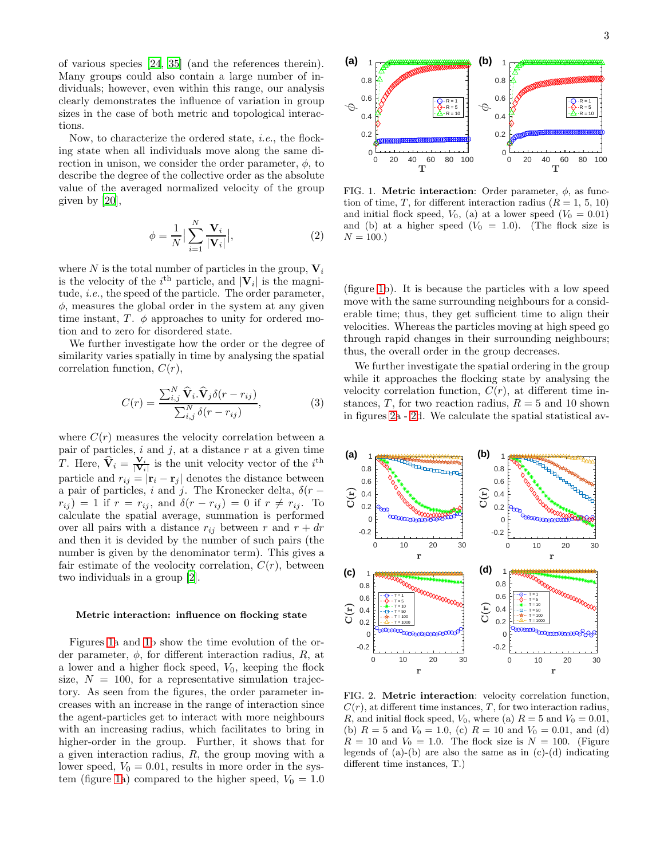of various species [\[24,](#page-6-14) [35\]](#page-6-24) (and the references therein). Many groups could also contain a large number of individuals; however, even within this range, our analysis clearly demonstrates the influence of variation in group sizes in the case of both metric and topological interactions.

Now, to characterize the ordered state, i.e., the flocking state when all individuals move along the same direction in unison, we consider the order parameter,  $\phi$ , to describe the degree of the collective order as the absolute value of the averaged normalized velocity of the group given by [\[20\]](#page-6-10),

$$
\phi = \frac{1}{N} \Big| \sum_{i=1}^{N} \frac{\mathbf{V}_i}{|\mathbf{V}_i|} \Big|,\tag{2}
$$

where N is the total number of particles in the group,  $V_i$ is the velocity of the  $i^{\text{th}}$  particle, and  $|\mathbf{V}_i|$  is the magnitude, *i.e.*, the speed of the particle. The order parameter,  $\phi$ , measures the global order in the system at any given time instant, T.  $\phi$  approaches to unity for ordered motion and to zero for disordered state.

We further investigate how the order or the degree of similarity varies spatially in time by analysing the spatial correlation function,  $C(r)$ ,

<span id="page-2-2"></span>
$$
C(r) = \frac{\sum_{i,j}^{N} \widehat{\mathbf{V}}_i \cdot \widehat{\mathbf{V}}_j \delta(r - r_{ij})}{\sum_{i,j}^{N} \delta(r - r_{ij})},
$$
(3)

where  $C(r)$  measures the velocity correlation between a pair of particles,  $i$  and  $j$ , at a distance  $r$  at a given time T. Here,  $\hat{\mathbf{V}}_i = \frac{\mathbf{V}_i}{|\mathbf{V}_i|}$  is the unit velocity vector of the  $i^{\text{th}}$ particle and  $r_{ij} = |\mathbf{r}_i - \mathbf{r}_j|$  denotes the distance between a pair of particles, i and j. The Kronecker delta,  $\delta(r$  $r_{ij}$ ) = 1 if  $r = r_{ij}$ , and  $\delta(r - r_{ij}) = 0$  if  $r \neq r_{ij}$ . To calculate the spatial average, summation is performed over all pairs with a distance  $r_{ij}$  between r and  $r + dr$ and then it is devided by the number of such pairs (the number is given by the denominator term). This gives a fair estimate of the veolocity correlation,  $C(r)$ , between two individuals in a group [\[2\]](#page-5-1).

### Metric interaction: influence on flocking state

Figures [1a](#page-2-0) and [1b](#page-2-0) show the time evolution of the order parameter,  $\phi$ , for different interaction radius, R, at a lower and a higher flock speed,  $V_0$ , keeping the flock size,  $N = 100$ , for a representative simulation trajectory. As seen from the figures, the order parameter increases with an increase in the range of interaction since the agent-particles get to interact with more neighbours with an increasing radius, which facilitates to bring in higher-order in the group. Further, it shows that for a given interaction radius, R, the group moving with a lower speed,  $V_0 = 0.01$ , results in more order in the sys-tem (figure [1a](#page-2-0)) compared to the higher speed,  $V_0 = 1.0$ 

<span id="page-2-0"></span>FIG. 1. **Metric interaction**: Order parameter,  $\phi$ , as function of time, T, for different interaction radius  $(R = 1, 5, 10)$ and initial flock speed,  $V_0$ , (a) at a lower speed  $(V_0 = 0.01)$ and (b) at a higher speed  $(V_0 = 1.0)$ . (The flock size is  $N = 100.$ 

0 20 40 60 80 100 T

 $\Omega$ 0.2 0.4 0.6 0.8 1

φ

**(a)**

(figure [1b](#page-2-0)). It is because the particles with a low speed move with the same surrounding neighbours for a considerable time; thus, they get sufficient time to align their velocities. Whereas the particles moving at high speed go through rapid changes in their surrounding neighbours; thus, the overall order in the group decreases.

We further investigate the spatial ordering in the group while it approaches the flocking state by analysing the velocity correlation function,  $C(r)$ , at different time instances, T, for two reaction radius,  $R = 5$  and 10 shown in figures [2a](#page-2-1) - [2d](#page-2-1). We calculate the spatial statistical av-



<span id="page-2-1"></span>FIG. 2. Metric interaction: velocity correlation function,  $C(r)$ , at different time instances, T, for two interaction radius, R, and initial flock speed,  $V_0$ , where (a)  $R = 5$  and  $V_0 = 0.01$ , (b)  $R = 5$  and  $V_0 = 1.0$ , (c)  $R = 10$  and  $V_0 = 0.01$ , and (d)  $R = 10$  and  $V_0 = 1.0$ . The flock size is  $N = 100$ . (Figure legends of  $(a)-(b)$  are also the same as in  $(c)-(d)$  indicating different time instances, T.)

0 20 40 60 80 100 T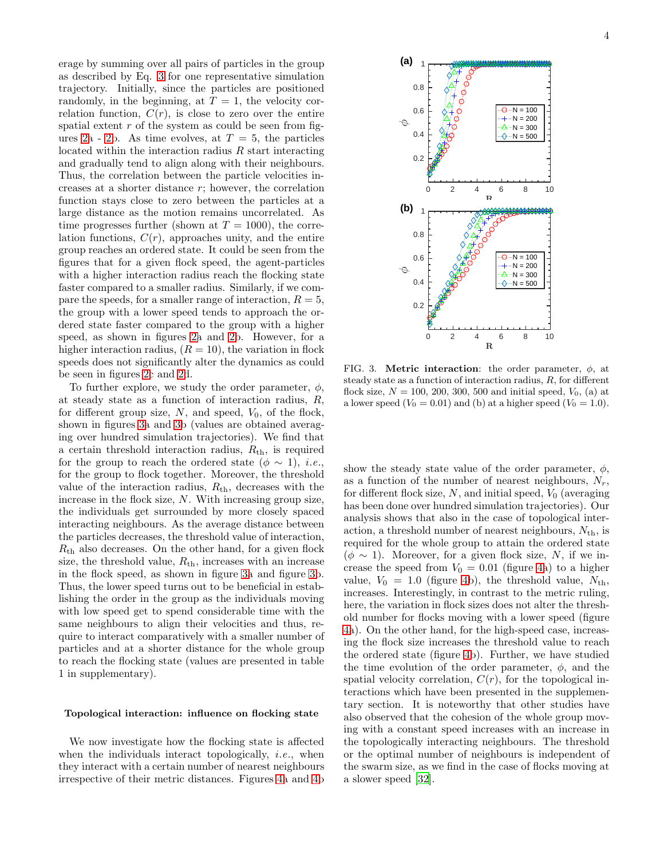erage by summing over all pairs of particles in the group as described by Eq. [3](#page-2-2) for one representative simulation trajectory. Initially, since the particles are positioned randomly, in the beginning, at  $T = 1$ , the velocity correlation function,  $C(r)$ , is close to zero over the entire spatial extent  $r$  of the system as could be seen from fig-ures [2a](#page-2-1) - [2b](#page-2-1). As time evolves, at  $T = 5$ , the particles located within the interaction radius R start interacting and gradually tend to align along with their neighbours. Thus, the correlation between the particle velocities increases at a shorter distance r; however, the correlation function stays close to zero between the particles at a large distance as the motion remains uncorrelated. As time progresses further (shown at  $T = 1000$ ), the correlation functions,  $C(r)$ , approaches unity, and the entire group reaches an ordered state. It could be seen from the figures that for a given flock speed, the agent-particles with a higher interaction radius reach the flocking state faster compared to a smaller radius. Similarly, if we compare the speeds, for a smaller range of interaction,  $R = 5$ , the group with a lower speed tends to approach the ordered state faster compared to the group with a higher speed, as shown in figures [2a](#page-2-1) and [2b](#page-2-1). However, for a higher interaction radius,  $(R = 10)$ , the variation in flock speeds does not significantly alter the dynamics as could be seen in figures [2c](#page-2-1) and [2d](#page-2-1).

To further explore, we study the order parameter,  $\phi$ , at steady state as a function of interaction radius, R, for different group size,  $N$ , and speed,  $V_0$ , of the flock, shown in figures [3a](#page-3-0) and [3b](#page-3-0) (values are obtained averaging over hundred simulation trajectories). We find that a certain threshold interaction radius,  $R_{th}$ , is required for the group to reach the ordered state ( $\phi \sim 1$ ), *i.e.*, for the group to flock together. Moreover, the threshold value of the interaction radius,  $R_{th}$ , decreases with the increase in the flock size, N. With increasing group size, the individuals get surrounded by more closely spaced interacting neighbours. As the average distance between the particles decreases, the threshold value of interaction,  $R<sub>th</sub>$  also decreases. On the other hand, for a given flock size, the threshold value,  $R_{th}$ , increases with an increase in the flock speed, as shown in figure [3a](#page-3-0) and figure [3b](#page-3-0). Thus, the lower speed turns out to be beneficial in establishing the order in the group as the individuals moving with low speed get to spend considerable time with the same neighbours to align their velocities and thus, require to interact comparatively with a smaller number of particles and at a shorter distance for the whole group to reach the flocking state (values are presented in table 1 in supplementary).

We now investigate how the flocking state is affected when the individuals interact topologically, *i.e.*, when they interact with a certain number of nearest neighbours irrespective of their metric distances. Figures [4a](#page-4-0) and [4b](#page-4-0)



<span id="page-3-0"></span>FIG. 3. **Metric interaction**: the order parameter,  $\phi$ , at steady state as a function of interaction radius, R, for different flock size,  $N = 100, 200, 300, 500$  and initial speed,  $V_0$ , (a) at a lower speed  $(V_0 = 0.01)$  and (b) at a higher speed  $(V_0 = 1.0)$ .

show the steady state value of the order parameter,  $\phi$ , as a function of the number of nearest neighbours,  $N_r$ , for different flock size,  $N$ , and initial speed,  $V_0$  (averaging has been done over hundred simulation trajectories). Our analysis shows that also in the case of topological interaction, a threshold number of nearest neighbours,  $N_{\text{th}}$ , is required for the whole group to attain the ordered state  $(\phi \sim 1)$ . Moreover, for a given flock size, N, if we increase the speed from  $V_0 = 0.01$  (figure [4a](#page-4-0)) to a higher value,  $V_0 = 1.0$  (figure [4b](#page-4-0)), the threshold value,  $N_{\text{th}}$ , increases. Interestingly, in contrast to the metric ruling, here, the variation in flock sizes does not alter the threshold number for flocks moving with a lower speed (figure [4a](#page-4-0)). On the other hand, for the high-speed case, increasing the flock size increases the threshold value to reach the ordered state (figure [4b](#page-4-0)). Further, we have studied the time evolution of the order parameter,  $\phi$ , and the spatial velocity correlation,  $C(r)$ , for the topological interactions which have been presented in the supplementary section. It is noteworthy that other studies have also observed that the cohesion of the whole group moving with a constant speed increases with an increase in the topologically interacting neighbours. The threshold or the optimal number of neighbours is independent of the swarm size, as we find in the case of flocks moving at a slower speed [\[32\]](#page-6-20).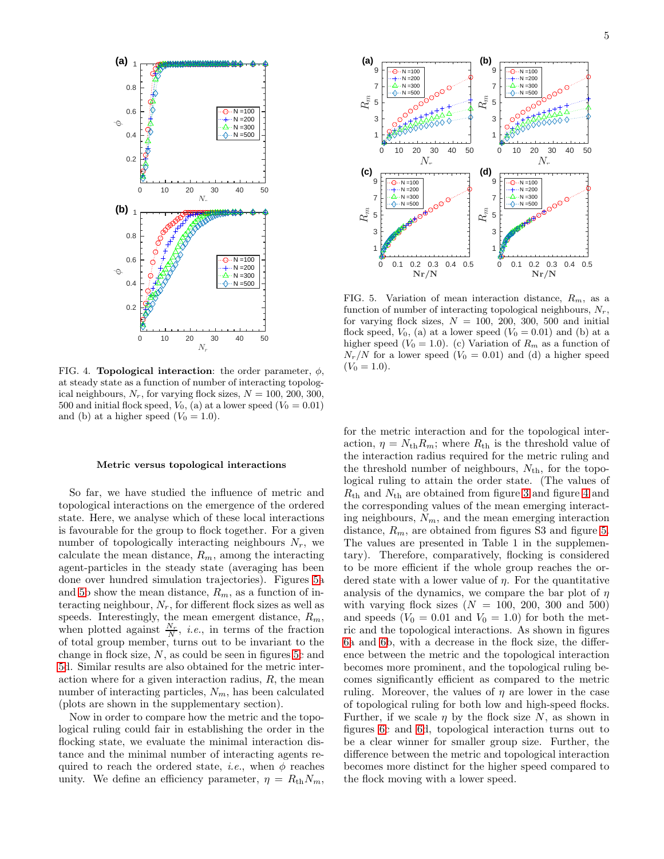

<span id="page-4-0"></span>FIG. 4. **Topological interaction**: the order parameter,  $\phi$ , at steady state as a function of number of interacting topological neighbours,  $N_r$ , for varying flock sizes,  $N = 100, 200, 300,$ 500 and initial flock speed,  $V_0$ , (a) at a lower speed  $(V_0 = 0.01)$ and (b) at a higher speed  $(V_0 = 1.0)$ .

### Metric versus topological interactions

So far, we have studied the influence of metric and topological interactions on the emergence of the ordered state. Here, we analyse which of these local interactions is favourable for the group to flock together. For a given number of topologically interacting neighbours  $N_r$ , we calculate the mean distance,  $R_m$ , among the interacting agent-particles in the steady state (averaging has been done over hundred simulation trajectories). Figures [5a](#page-4-1) and [5b](#page-4-1) show the mean distance,  $R_m$ , as a function of interacting neighbour,  $N_r$ , for different flock sizes as well as speeds. Interestingly, the mean emergent distance,  $R_m$ , when plotted against  $\frac{N_r}{N}$ , *i.e.*, in terms of the fraction of total group member, turns out to be invariant to the change in flock size, N, as could be seen in figures [5c](#page-4-1) and [5d](#page-4-1). Similar results are also obtained for the metric interaction where for a given interaction radius,  $R$ , the mean number of interacting particles,  $N_m$ , has been calculated (plots are shown in the supplementary section).

Now in order to compare how the metric and the topological ruling could fair in establishing the order in the flocking state, we evaluate the minimal interaction distance and the minimal number of interacting agents required to reach the ordered state, *i.e.*, when  $\phi$  reaches unity. We define an efficiency parameter,  $\eta = R_{\text{th}}N_m$ ,



<span id="page-4-1"></span>FIG. 5. Variation of mean interaction distance,  $R_m$ , as a function of number of interacting topological neighbours,  $N_r$ , for varying flock sizes,  $N = 100, 200, 300, 500$  and initial flock speed,  $V_0$ , (a) at a lower speed  $(V_0 = 0.01)$  and (b) at a higher speed ( $V_0 = 1.0$ ). (c) Variation of  $R_m$  as a function of  $N_r/N$  for a lower speed  $(V_0 = 0.01)$  and (d) a higher speed  $(V_0 = 1.0).$ 

for the metric interaction and for the topological interaction,  $\eta = N_{\text{th}}R_m$ ; where  $R_{\text{th}}$  is the threshold value of the interaction radius required for the metric ruling and the threshold number of neighbours,  $N_{\text{th}}$ , for the topological ruling to attain the order state. (The values of  $R_{\text{th}}$  and  $N_{\text{th}}$  are obtained from figure [3](#page-3-0) and figure [4](#page-4-0) and the corresponding values of the mean emerging interacting neighbours,  $N_m$ , and the mean emerging interaction distance,  $R_m$ , are obtained from figures S3 and figure [5.](#page-4-1) The values are presented in Table 1 in the supplementary). Therefore, comparatively, flocking is considered to be more efficient if the whole group reaches the ordered state with a lower value of  $\eta$ . For the quantitative analysis of the dynamics, we compare the bar plot of  $n$ with varying flock sizes  $(N = 100, 200, 300, 500)$ and speeds  $(V_0 = 0.01$  and  $V_0 = 1.0)$  for both the metric and the topological interactions. As shown in figures [6a](#page-5-3) and [6b](#page-5-3), with a decrease in the flock size, the difference between the metric and the topological interaction becomes more prominent, and the topological ruling becomes significantly efficient as compared to the metric ruling. Moreover, the values of  $\eta$  are lower in the case of topological ruling for both low and high-speed flocks. Further, if we scale  $\eta$  by the flock size N, as shown in figures [6c](#page-5-3) and [6d](#page-5-3), topological interaction turns out to be a clear winner for smaller group size. Further, the difference between the metric and topological interaction becomes more distinct for the higher speed compared to the flock moving with a lower speed.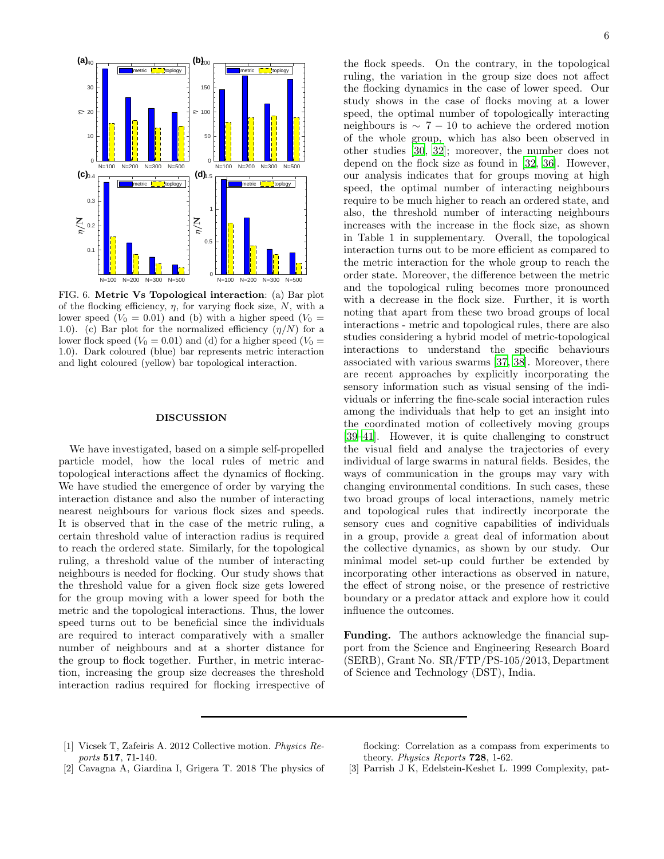

<span id="page-5-3"></span>FIG. 6. Metric Vs Topological interaction: (a) Bar plot of the flocking efficiency,  $\eta$ , for varying flock size, N, with a lower speed  $(V_0 = 0.01)$  and (b) with a higher speed  $(V_0 = 0.01)$ 1.0). (c) Bar plot for the normalized efficiency  $(\eta/N)$  for a lower flock speed ( $V_0 = 0.01$ ) and (d) for a higher speed ( $V_0 =$ 1.0). Dark coloured (blue) bar represents metric interaction and light coloured (yellow) bar topological interaction.

## DISCUSSION

We have investigated, based on a simple self-propelled particle model, how the local rules of metric and topological interactions affect the dynamics of flocking. We have studied the emergence of order by varying the interaction distance and also the number of interacting nearest neighbours for various flock sizes and speeds. It is observed that in the case of the metric ruling, a certain threshold value of interaction radius is required to reach the ordered state. Similarly, for the topological ruling, a threshold value of the number of interacting neighbours is needed for flocking. Our study shows that the threshold value for a given flock size gets lowered for the group moving with a lower speed for both the metric and the topological interactions. Thus, the lower speed turns out to be beneficial since the individuals are required to interact comparatively with a smaller number of neighbours and at a shorter distance for the group to flock together. Further, in metric interaction, increasing the group size decreases the threshold interaction radius required for flocking irrespective of

the flock speeds. On the contrary, in the topological ruling, the variation in the group size does not affect the flocking dynamics in the case of lower speed. Our study shows in the case of flocks moving at a lower speed, the optimal number of topologically interacting neighbours is  $\sim 7 - 10$  to achieve the ordered motion of the whole group, which has also been observed in other studies [\[30,](#page-6-18) [32](#page-6-20)]; moreover, the number does not depend on the flock size as found in [\[32](#page-6-20), [36\]](#page-6-25). However, our analysis indicates that for groups moving at high speed, the optimal number of interacting neighbours require to be much higher to reach an ordered state, and also, the threshold number of interacting neighbours increases with the increase in the flock size, as shown in Table 1 in supplementary. Overall, the topological interaction turns out to be more efficient as compared to the metric interaction for the whole group to reach the order state. Moreover, the difference between the metric and the topological ruling becomes more pronounced with a decrease in the flock size. Further, it is worth noting that apart from these two broad groups of local interactions - metric and topological rules, there are also studies considering a hybrid model of metric-topological interactions to understand the specific behaviours associated with various swarms [\[37,](#page-6-26) [38\]](#page-6-27). Moreover, there are recent approaches by explicitly incorporating the sensory information such as visual sensing of the individuals or inferring the fine-scale social interaction rules among the individuals that help to get an insight into the coordinated motion of collectively moving groups [\[39](#page-6-28)[–41\]](#page-6-29). However, it is quite challenging to construct the visual field and analyse the trajectories of every individual of large swarms in natural fields. Besides, the ways of communication in the groups may vary with changing environmental conditions. In such cases, these two broad groups of local interactions, namely metric and topological rules that indirectly incorporate the sensory cues and cognitive capabilities of individuals in a group, provide a great deal of information about the collective dynamics, as shown by our study. Our minimal model set-up could further be extended by incorporating other interactions as observed in nature, the effect of strong noise, or the presence of restrictive boundary or a predator attack and explore how it could influence the outcomes.

Funding. The authors acknowledge the financial support from the Science and Engineering Research Board (SERB), Grant No. SR/FTP/PS-105/2013, Department of Science and Technology (DST), India.

<span id="page-5-0"></span>[1] Vicsek T, Zafeiris A. 2012 Collective motion. Physics Reports 517, 71-140.

flocking: Correlation as a compass from experiments to theory. Physics Reports 728, 1-62.

- <span id="page-5-1"></span>[2] Cavagna A, Giardina I, Grigera T. 2018 The physics of
- <span id="page-5-2"></span>[3] Parrish J K, Edelstein-Keshet L. 1999 Complexity, pat-